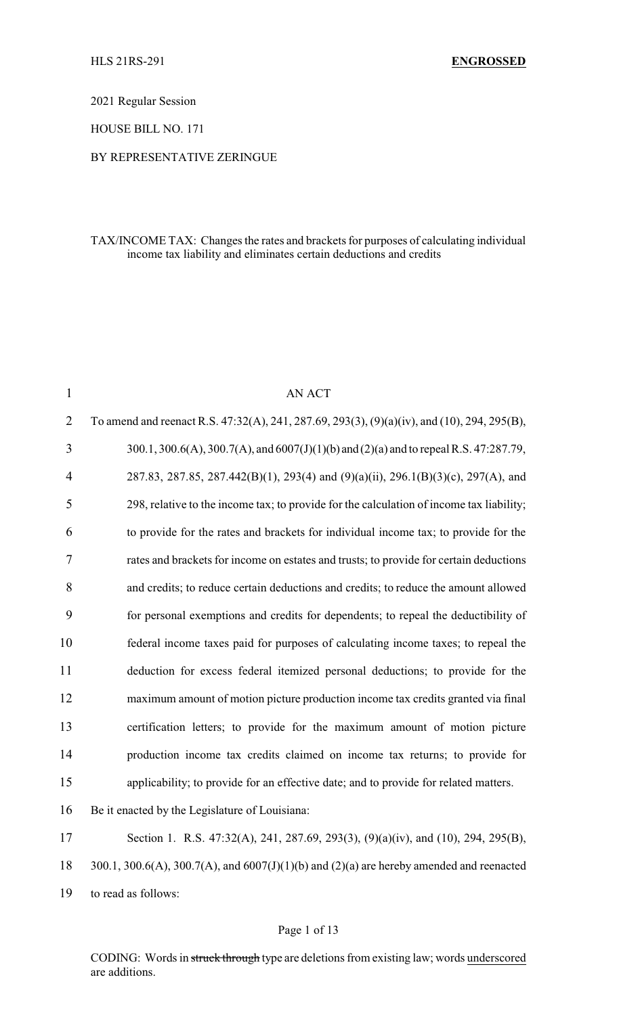2021 Regular Session

HOUSE BILL NO. 171

#### BY REPRESENTATIVE ZERINGUE

### TAX/INCOME TAX: Changes the rates and brackets for purposes of calculating individual income tax liability and eliminates certain deductions and credits

| $\mathbf{1}$   | AN ACT                                                                                       |
|----------------|----------------------------------------------------------------------------------------------|
| $\overline{2}$ | To amend and reenact R.S. 47:32(A), 241, 287.69, 293(3), (9)(a)(iv), and (10), 294, 295(B),  |
| 3              | 300.1, 300.6(A), 300.7(A), and 6007(J)(1)(b) and (2)(a) and to repeal R.S. 47:287.79,        |
| 4              | 287.83, 287.85, 287.442(B)(1), 293(4) and (9)(a)(ii), 296.1(B)(3)(c), 297(A), and            |
| 5              | 298, relative to the income tax; to provide for the calculation of income tax liability;     |
| 6              | to provide for the rates and brackets for individual income tax; to provide for the          |
| 7              | rates and brackets for income on estates and trusts; to provide for certain deductions       |
| 8              | and credits; to reduce certain deductions and credits; to reduce the amount allowed          |
| 9              | for personal exemptions and credits for dependents; to repeal the deductibility of           |
| 10             | federal income taxes paid for purposes of calculating income taxes; to repeal the            |
| 11             | deduction for excess federal itemized personal deductions; to provide for the                |
| 12             | maximum amount of motion picture production income tax credits granted via final             |
| 13             | certification letters; to provide for the maximum amount of motion picture                   |
| 14             | production income tax credits claimed on income tax returns; to provide for                  |
| 15             | applicability; to provide for an effective date; and to provide for related matters.         |
| 16             | Be it enacted by the Legislature of Louisiana:                                               |
| 17             | Section 1. R.S. 47:32(A), 241, 287.69, 293(3), (9)(a)(iv), and (10), 294, 295(B),            |
| 18             | 300.1, 300.6(A), 300.7(A), and $6007(J)(1)(b)$ and $(2)(a)$ are hereby amended and reenacted |
| 19             | to read as follows:                                                                          |

#### Page 1 of 13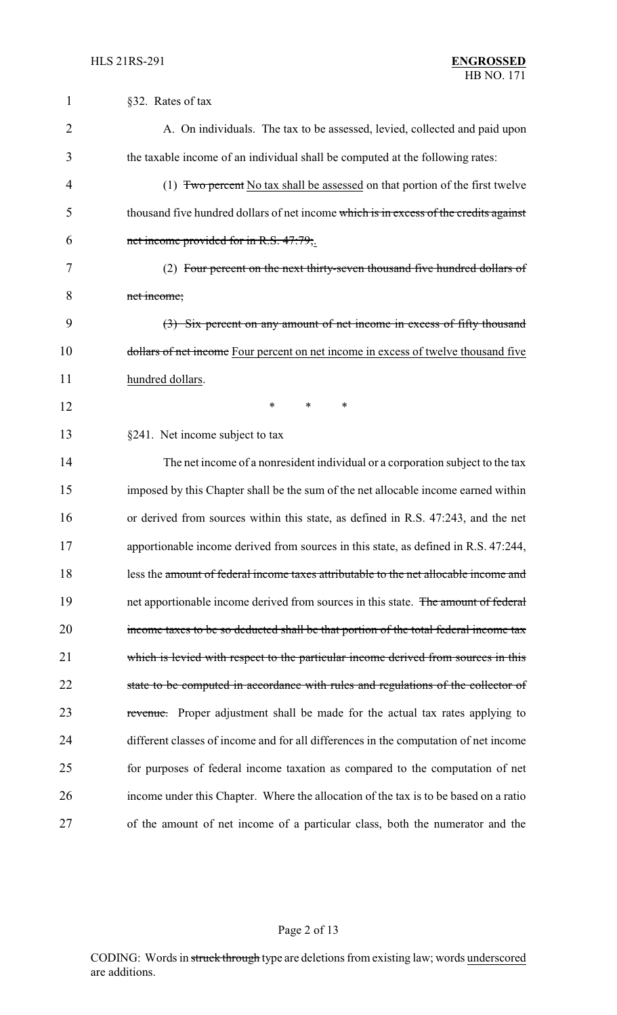| 1              | §32. Rates of tax                                                                     |
|----------------|---------------------------------------------------------------------------------------|
| $\overline{2}$ | A. On individuals. The tax to be assessed, levied, collected and paid upon            |
| 3              | the taxable income of an individual shall be computed at the following rates:         |
| 4              | (1) Two percent No tax shall be assessed on that portion of the first twelve          |
| 5              | thousand five hundred dollars of net income which is in excess of the credits against |
| 6              | net income provided for in R.S. 47:79;.                                               |
| 7              | (2) Four percent on the next thirty-seven thousand five hundred dollars of            |
| 8              | net income;                                                                           |
| 9              | (3) Six percent on any amount of net income in excess of fifty thousand               |
| 10             | dollars of net income Four percent on net income in excess of twelve thousand five    |
| 11             | hundred dollars.                                                                      |
| 12             | *<br>*<br>*                                                                           |
| 13             | §241. Net income subject to tax                                                       |
| 14             | The net income of a nonresident individual or a corporation subject to the tax        |
| 15             | imposed by this Chapter shall be the sum of the net allocable income earned within    |
| 16             | or derived from sources within this state, as defined in R.S. 47:243, and the net     |
| 17             | apportionable income derived from sources in this state, as defined in R.S. 47:244,   |
| 18             | less the amount of federal income taxes attributable to the net allocable income and  |
| 19             | net apportionable income derived from sources in this state. The amount of federal    |
| 20             | income taxes to be so deducted shall be that portion of the total federal income tax  |
| 21             | which is levied with respect to the particular income derived from sources in this    |
| 22             | state to be computed in accordance with rules and regulations of the collector of     |
| 23             | revenue. Proper adjustment shall be made for the actual tax rates applying to         |
| 24             | different classes of income and for all differences in the computation of net income  |
| 25             | for purposes of federal income taxation as compared to the computation of net         |
| 26             | income under this Chapter. Where the allocation of the tax is to be based on a ratio  |
| 27             | of the amount of net income of a particular class, both the numerator and the         |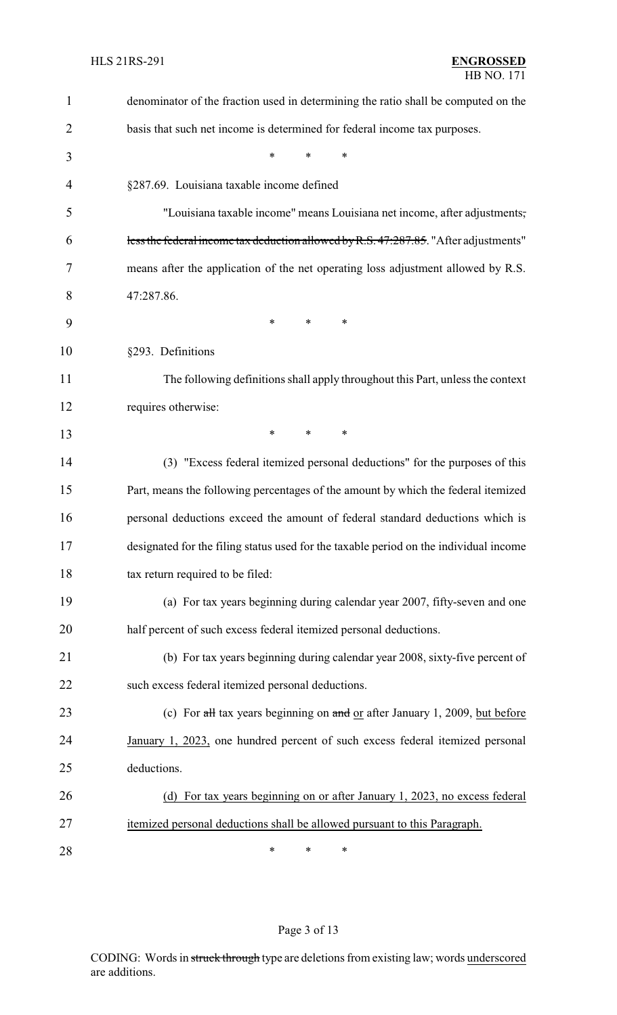| 1              | denominator of the fraction used in determining the ratio shall be computed on the    |
|----------------|---------------------------------------------------------------------------------------|
| $\overline{2}$ | basis that such net income is determined for federal income tax purposes.             |
| 3              | $\ast$<br>$\ast$<br>*                                                                 |
| 4              | §287.69. Louisiana taxable income defined                                             |
| 5              | "Louisiana taxable income" means Louisiana net income, after adjustments,             |
| 6              | less the federal income tax deduction allowed by R.S. 47:287.85. "After adjustments"  |
| 7              | means after the application of the net operating loss adjustment allowed by R.S.      |
| 8              | 47:287.86.                                                                            |
| 9              | $\ast$<br>*<br>∗                                                                      |
| 10             | §293. Definitions                                                                     |
| 11             | The following definitions shall apply throughout this Part, unless the context        |
| 12             | requires otherwise:                                                                   |
| 13             | *<br>*<br>*                                                                           |
| 14             | (3) "Excess federal itemized personal deductions" for the purposes of this            |
| 15             | Part, means the following percentages of the amount by which the federal itemized     |
| 16             | personal deductions exceed the amount of federal standard deductions which is         |
| 17             | designated for the filing status used for the taxable period on the individual income |
| 18             | tax return required to be filed:                                                      |
| 19             | (a) For tax years beginning during calendar year 2007, fifty-seven and one            |
| 20             | half percent of such excess federal itemized personal deductions.                     |
| 21             | (b) For tax years beginning during calendar year 2008, sixty-five percent of          |
| 22             | such excess federal itemized personal deductions.                                     |
| 23             | (c) For all tax years beginning on and or after January 1, 2009, but before           |
| 24             | January 1, 2023, one hundred percent of such excess federal itemized personal         |
| 25             | deductions.                                                                           |
| 26             | (d) For tax years beginning on or after January 1, 2023, no excess federal            |
| 27             | itemized personal deductions shall be allowed pursuant to this Paragraph.             |
| 28             | ∗<br>∗<br>∗                                                                           |

# Page 3 of 13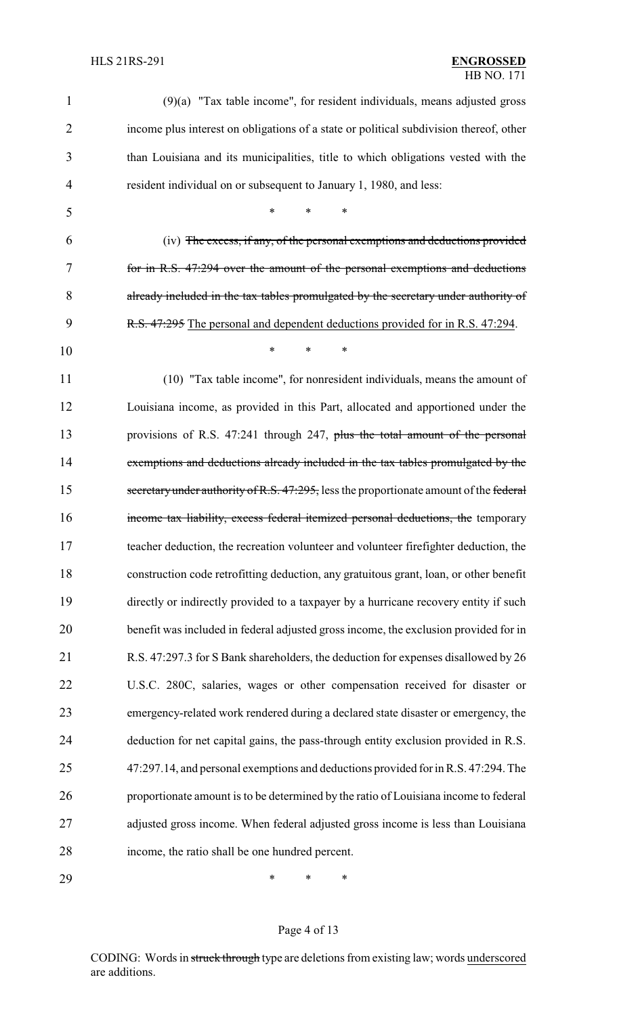| 1              | $(9)(a)$ "Tax table income", for resident individuals, means adjusted gross            |
|----------------|----------------------------------------------------------------------------------------|
| $\overline{2}$ | income plus interest on obligations of a state or political subdivision thereof, other |
| 3              | than Louisiana and its municipalities, title to which obligations vested with the      |
| $\overline{4}$ | resident individual on or subsequent to January 1, 1980, and less:                     |
| 5              | $\ast$<br>*                                                                            |
| 6              | (iv) The excess, if any, of the personal exemptions and deductions provided            |
| 7              | for in R.S. 47.294 over the amount of the personal exemptions and deductions           |
| 8              | already included in the tax tables promulgated by the secretary under authority of     |
| 9              | R.S. 47:295 The personal and dependent deductions provided for in R.S. 47:294.         |
| 10             | *<br>*                                                                                 |
| 11             | (10) "Tax table income", for nonresident individuals, means the amount of              |
| 12             | Louisiana income, as provided in this Part, allocated and apportioned under the        |
| 13             | provisions of R.S. 47:241 through 247, plus the total amount of the personal           |
| 14             | exemptions and deductions already included in the tax tables promulgated by the        |
| 15             | secretary under authority of R.S. 47:295, less the proportionate amount of the federal |
| 16             | income tax liability, excess federal itemized personal deductions, the temporary       |
| 17             | teacher deduction, the recreation volunteer and volunteer firefighter deduction, the   |
| 18             | construction code retrofitting deduction, any gratuitous grant, loan, or other benefit |
| 19             | directly or indirectly provided to a taxpayer by a hurricane recovery entity if such   |
| 20             | benefit was included in federal adjusted gross income, the exclusion provided for in   |
| 21             | R.S. 47:297.3 for S Bank shareholders, the deduction for expenses disallowed by 26     |
| 22             | U.S.C. 280C, salaries, wages or other compensation received for disaster or            |
| 23             | emergency-related work rendered during a declared state disaster or emergency, the     |
| 24             | deduction for net capital gains, the pass-through entity exclusion provided in R.S.    |
| 25             | 47:297.14, and personal exemptions and deductions provided for in R.S. 47:294. The     |
| 26             | proportionate amount is to be determined by the ratio of Louisiana income to federal   |
| 27             | adjusted gross income. When federal adjusted gross income is less than Louisiana       |
| 28             | income, the ratio shall be one hundred percent.                                        |
|                |                                                                                        |

\* \* \*

# Page 4 of 13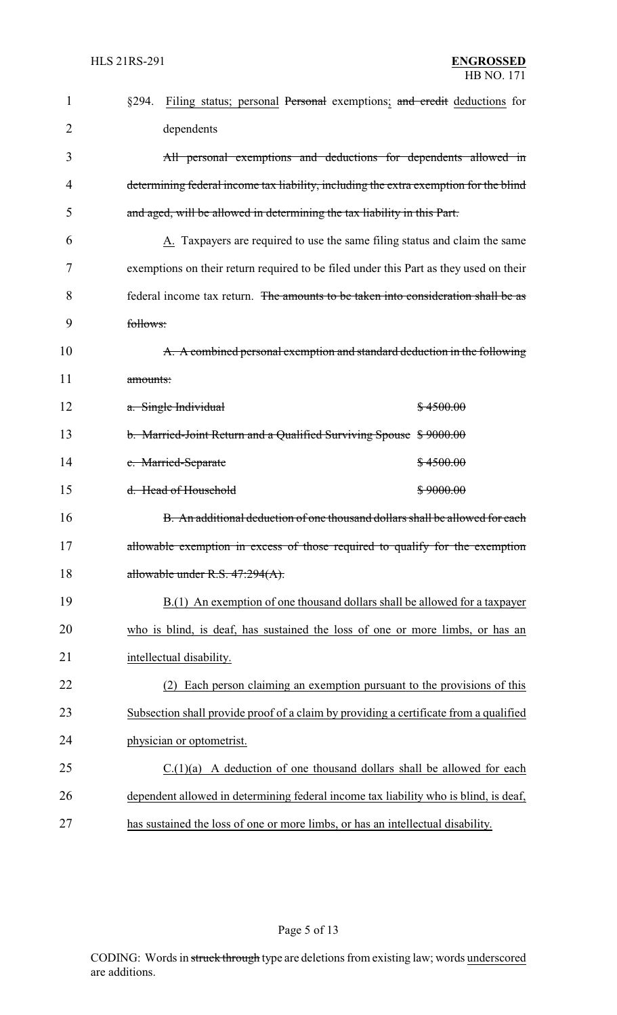| $\mathbf{1}$ | Filing status; personal Personal exemptions; and credit deductions for<br>§294.       |
|--------------|---------------------------------------------------------------------------------------|
| 2            | dependents                                                                            |
| 3            | All personal exemptions and deductions for dependents allowed in                      |
| 4            | determining federal income tax liability, including the extra exemption for the blind |
| 5            | and aged, will be allowed in determining the tax liability in this Part.              |
| 6            | A. Taxpayers are required to use the same filing status and claim the same            |
| 7            | exemptions on their return required to be filed under this Part as they used on their |
| 8            | federal income tax return. The amounts to be taken into consideration shall be as     |
| 9            | follows:                                                                              |
| 10           | A. A combined personal exemption and standard deduction in the following              |
| 11           | amounts:                                                                              |
| 12           | a. Single Individual<br>\$4500.00                                                     |
| 13           | b. Married-Joint Return and a Qualified Surviving Spouse \$9000.00                    |
| 14           | c. Married-Separate<br><del>\$4500.00</del>                                           |
| 15           | d. Head of Household<br>\$9000.00                                                     |
| 16           | B. An additional deduction of one thousand dollars shall be allowed for each          |
| 17           | allowable exemption in excess of those required to qualify for the exemption          |
| 18           | allowable under R.S. 47:294(A).                                                       |
| 19           | B.(1) An exemption of one thousand dollars shall be allowed for a taxpayer            |
| 20           | who is blind, is deaf, has sustained the loss of one or more limbs, or has an         |
| 21           | intellectual disability.                                                              |
| 22           | Each person claiming an exemption pursuant to the provisions of this<br>(2)           |
| 23           | Subsection shall provide proof of a claim by providing a certificate from a qualified |
| 24           | physician or optometrist.                                                             |
| 25           | A deduction of one thousand dollars shall be allowed for each<br>C.(1)(a)             |
| 26           | dependent allowed in determining federal income tax liability who is blind, is deaf,  |
| 27           | has sustained the loss of one or more limbs, or has an intellectual disability.       |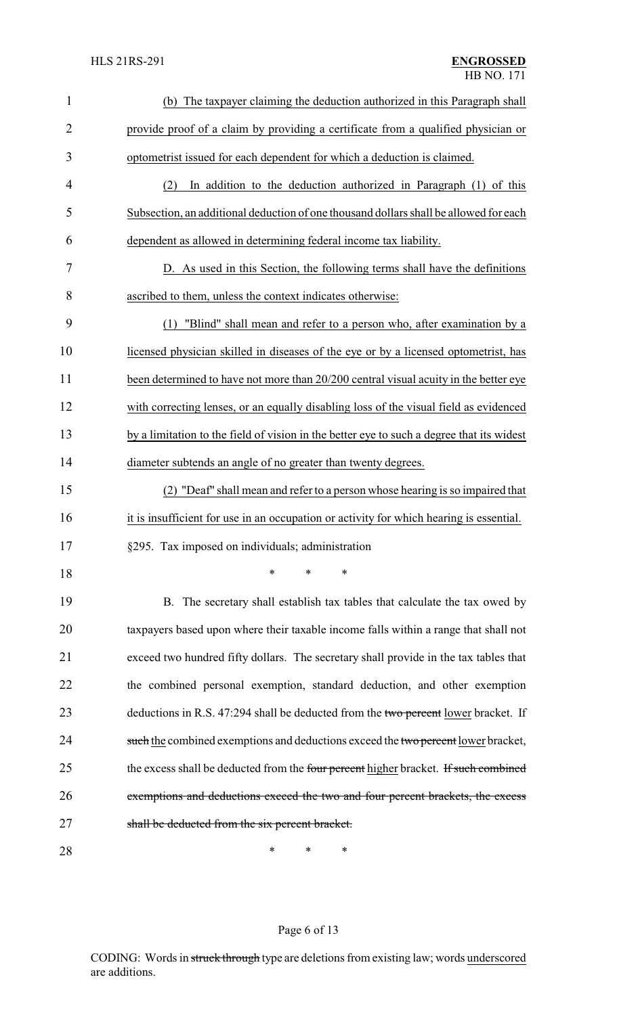| $\mathbf{1}$   | (b) The taxpayer claiming the deduction authorized in this Paragraph shall                |
|----------------|-------------------------------------------------------------------------------------------|
| $\overline{2}$ | provide proof of a claim by providing a certificate from a qualified physician or         |
| 3              | optometrist issued for each dependent for which a deduction is claimed.                   |
| 4              | In addition to the deduction authorized in Paragraph (1) of this<br>(2)                   |
| 5              | Subsection, an additional deduction of one thousand dollars shall be allowed for each     |
| 6              | dependent as allowed in determining federal income tax liability.                         |
| 7              | D. As used in this Section, the following terms shall have the definitions                |
| 8              | ascribed to them, unless the context indicates otherwise:                                 |
| 9              | "Blind" shall mean and refer to a person who, after examination by a<br>(1)               |
| 10             | licensed physician skilled in diseases of the eye or by a licensed optometrist, has       |
| 11             | been determined to have not more than 20/200 central visual acuity in the better eye      |
| 12             | with correcting lenses, or an equally disabling loss of the visual field as evidenced     |
| 13             | by a limitation to the field of vision in the better eye to such a degree that its widest |
| 14             | diameter subtends an angle of no greater than twenty degrees.                             |
| 15             | (2) "Deaf" shall mean and refer to a person whose hearing is so impaired that             |
| 16             | it is insufficient for use in an occupation or activity for which hearing is essential.   |
| 17             | §295. Tax imposed on individuals; administration                                          |
| 18             | *<br>*<br>*                                                                               |
| 19             | B. The secretary shall establish tax tables that calculate the tax owed by                |
| 20             | taxpayers based upon where their taxable income falls within a range that shall not       |
| 21             | exceed two hundred fifty dollars. The secretary shall provide in the tax tables that      |
| 22             | the combined personal exemption, standard deduction, and other exemption                  |
| 23             | deductions in R.S. 47:294 shall be deducted from the two percent lower bracket. If        |
| 24             | such the combined exemptions and deductions exceed the two percent lower bracket,         |
| 25             | the excess shall be deducted from the four percent higher bracket. If such combined       |
| 26             | exemptions and deductions exceed the two and four percent brackets, the excess            |
| 27             | shall be deducted from the six percent bracket.                                           |
| 28             | *<br>∗<br>∗                                                                               |

# Page 6 of 13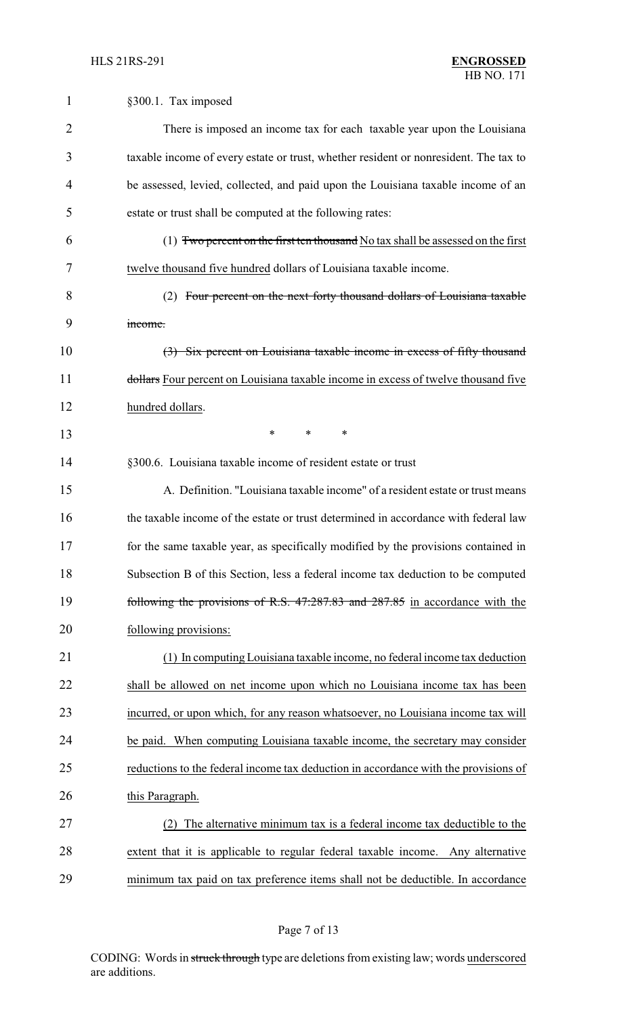| 1              | §300.1. Tax imposed                                                                  |
|----------------|--------------------------------------------------------------------------------------|
| $\overline{2}$ | There is imposed an income tax for each taxable year upon the Louisiana              |
| 3              | taxable income of every estate or trust, whether resident or nonresident. The tax to |
| 4              | be assessed, levied, collected, and paid upon the Louisiana taxable income of an     |
| 5              | estate or trust shall be computed at the following rates:                            |
| 6              | (1) Two percent on the first ten thousand No tax shall be assessed on the first      |
| 7              | twelve thousand five hundred dollars of Louisiana taxable income.                    |
| 8              | (2) Four percent on the next forty thousand dollars of Louisiana taxable             |
| 9              | income.                                                                              |
| 10             | (3) Six percent on Louisiana taxable income in excess of fifty thousand              |
| 11             | dollars Four percent on Louisiana taxable income in excess of twelve thousand five   |
| 12             | hundred dollars.                                                                     |
| 13             | $\ast$<br>$\ast$<br>$\ast$                                                           |
| 14             | §300.6. Louisiana taxable income of resident estate or trust                         |
| 15             | A. Definition. "Louisiana taxable income" of a resident estate or trust means        |
| 16             | the taxable income of the estate or trust determined in accordance with federal law  |
| 17             | for the same taxable year, as specifically modified by the provisions contained in   |
| 18             | Subsection B of this Section, less a federal income tax deduction to be computed     |
| 19             | following the provisions of R.S. 47:287.83 and 287.85 in accordance with the         |
| 20             | following provisions:                                                                |
| 21             | (1) In computing Louisiana taxable income, no federal income tax deduction           |
| 22             | shall be allowed on net income upon which no Louisiana income tax has been           |
| 23             | incurred, or upon which, for any reason whatsoever, no Louisiana income tax will     |
| 24             | be paid. When computing Louisiana taxable income, the secretary may consider         |
| 25             | reductions to the federal income tax deduction in accordance with the provisions of  |
| 26             | this Paragraph.                                                                      |
| 27             | (2) The alternative minimum tax is a federal income tax deductible to the            |
| 28             | extent that it is applicable to regular federal taxable income. Any alternative      |
| 29             | minimum tax paid on tax preference items shall not be deductible. In accordance      |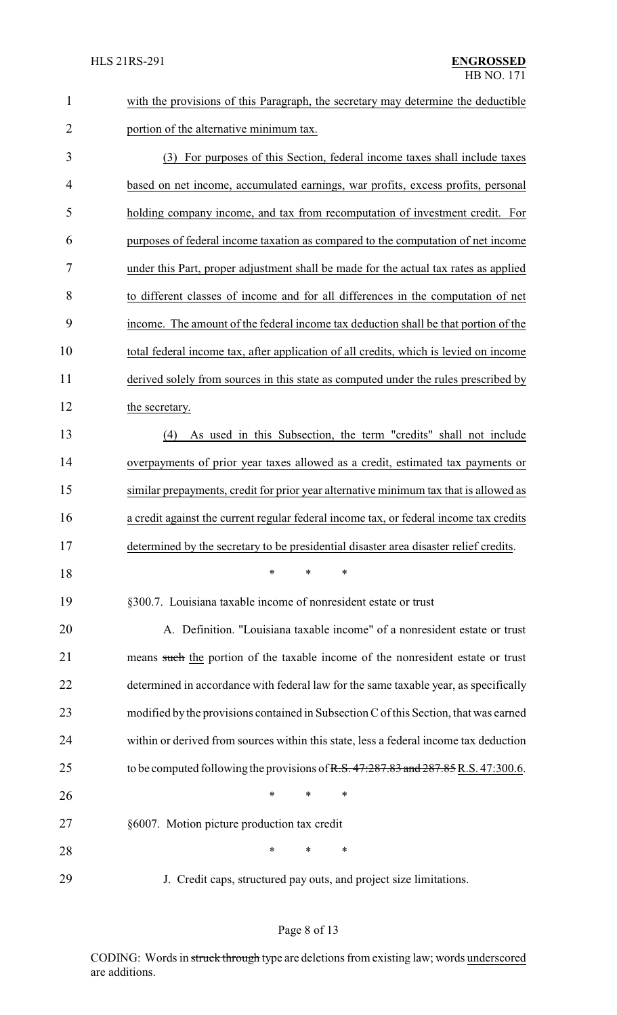| with the provisions of this Paragraph, the secretary may determine the deductible |
|-----------------------------------------------------------------------------------|
| portion of the alternative minimum tax.                                           |

 (3) For purposes of this Section, federal income taxes shall include taxes based on net income, accumulated earnings, war profits, excess profits, personal holding company income, and tax from recomputation of investment credit. For purposes of federal income taxation as compared to the computation of net income under this Part, proper adjustment shall be made for the actual tax rates as applied to different classes of income and for all differences in the computation of net income. The amount of the federal income tax deduction shall be that portion of the total federal income tax, after application of all credits, which is levied on income derived solely from sources in this state as computed under the rules prescribed by 12 the secretary.

 (4) As used in this Subsection, the term "credits" shall not include overpayments of prior year taxes allowed as a credit, estimated tax payments or similar prepayments, credit for prior year alternative minimum tax that is allowed as a credit against the current regular federal income tax, or federal income tax credits determined by the secretary to be presidential disaster area disaster relief credits.

\* \* \*

§300.7. Louisiana taxable income of nonresident estate or trust

 A. Definition. "Louisiana taxable income" of a nonresident estate or trust 21 means such the portion of the taxable income of the nonresident estate or trust determined in accordance with federal law for the same taxable year, as specifically modified by the provisions contained in Subsection C of this Section, that was earned within or derived from sources within this state, less a federal income tax deduction 25 to be computed following the provisions of R.S. 47:287.83 and 287.85 R.S. 47:300.6. **\*** \* \* \* §6007. Motion picture production tax credit **\*** \* \* \*

J. Credit caps, structured pay outs, and project size limitations.

#### Page 8 of 13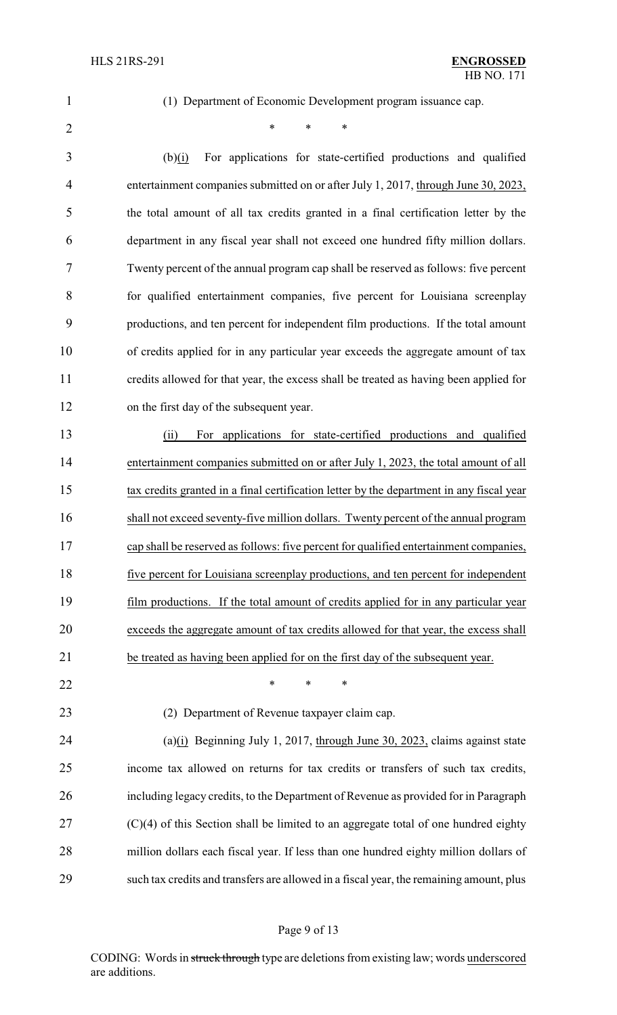(1) Department of Economic Development program issuance cap.

 $*$  \* \* \*

 (b)(i) For applications for state-certified productions and qualified 4 entertainment companies submitted on or after July 1, 2017, through June 30, 2023, the total amount of all tax credits granted in a final certification letter by the department in any fiscal year shall not exceed one hundred fifty million dollars. Twenty percent of the annual program cap shall be reserved as follows: five percent for qualified entertainment companies, five percent for Louisiana screenplay productions, and ten percent for independent film productions. If the total amount of credits applied for in any particular year exceeds the aggregate amount of tax credits allowed for that year, the excess shall be treated as having been applied for on the first day of the subsequent year.

 (ii) For applications for state-certified productions and qualified entertainment companies submitted on or after July 1, 2023, the total amount of all tax credits granted in a final certification letter by the department in any fiscal year shall not exceed seventy-five million dollars. Twenty percent of the annual program cap shall be reserved as follows: five percent for qualified entertainment companies, five percent for Louisiana screenplay productions, and ten percent for independent film productions. If the total amount of credits applied for in any particular year exceeds the aggregate amount of tax credits allowed for that year, the excess shall be treated as having been applied for on the first day of the subsequent year.

**\*** \* \* \*

(2) Department of Revenue taxpayer claim cap.

 (a)(i) Beginning July 1, 2017, through June 30, 2023, claims against state income tax allowed on returns for tax credits or transfers of such tax credits, including legacy credits, to the Department of Revenue as provided for in Paragraph (C)(4) of this Section shall be limited to an aggregate total of one hundred eighty million dollars each fiscal year. If less than one hundred eighty million dollars of such tax credits and transfers are allowed in a fiscal year, the remaining amount, plus

#### Page 9 of 13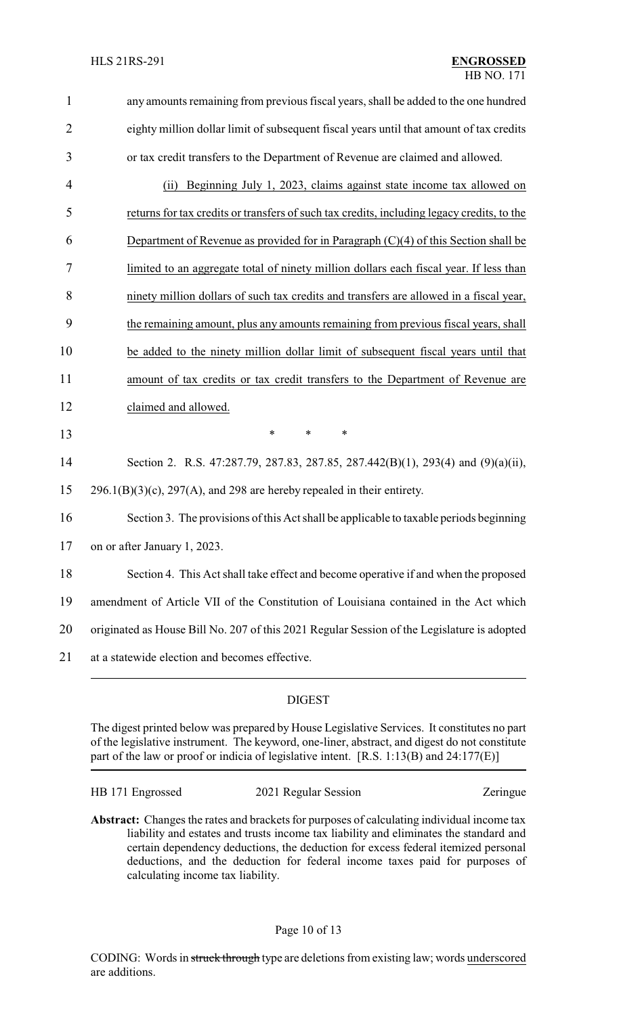| $\mathbf{1}$   | any amounts remaining from previous fiscal years, shall be added to the one hundred         |
|----------------|---------------------------------------------------------------------------------------------|
| $\overline{2}$ | eighty million dollar limit of subsequent fiscal years until that amount of tax credits     |
| 3              | or tax credit transfers to the Department of Revenue are claimed and allowed.               |
| 4              | Beginning July 1, 2023, claims against state income tax allowed on<br>(ii)                  |
| 5              | returns for tax credits or transfers of such tax credits, including legacy credits, to the  |
| 6              | Department of Revenue as provided for in Paragraph $(C)(4)$ of this Section shall be        |
| 7              | limited to an aggregate total of ninety million dollars each fiscal year. If less than      |
| 8              | ninety million dollars of such tax credits and transfers are allowed in a fiscal year,      |
| 9              | the remaining amount, plus any amounts remaining from previous fiscal years, shall          |
| 10             | be added to the ninety million dollar limit of subsequent fiscal years until that           |
| 11             | amount of tax credits or tax credit transfers to the Department of Revenue are              |
| 12             | claimed and allowed.                                                                        |
| 13             | ∗<br>$\ast$<br>∗                                                                            |
| 14             | Section 2. R.S. 47:287.79, 287.83, 287.85, 287.442(B)(1), 293(4) and (9)(a)(ii),            |
| 15             | $296.1(B)(3)(c)$ , $297(A)$ , and 298 are hereby repealed in their entirety.                |
| 16             | Section 3. The provisions of this Act shall be applicable to taxable periods beginning      |
| 17             | on or after January 1, 2023.                                                                |
| 18             | Section 4. This Act shall take effect and become operative if and when the proposed         |
| 19             | amendment of Article VII of the Constitution of Louisiana contained in the Act which        |
| 20             | originated as House Bill No. 207 of this 2021 Regular Session of the Legislature is adopted |
| 21             | at a statewide election and becomes effective.                                              |
|                |                                                                                             |

### DIGEST

The digest printed below was prepared by House Legislative Services. It constitutes no part of the legislative instrument. The keyword, one-liner, abstract, and digest do not constitute part of the law or proof or indicia of legislative intent. [R.S. 1:13(B) and 24:177(E)]

HB 171 Engrossed 2021 Regular Session Zeringue

**Abstract:** Changes the rates and brackets for purposes of calculating individual income tax liability and estates and trusts income tax liability and eliminates the standard and certain dependency deductions, the deduction for excess federal itemized personal deductions, and the deduction for federal income taxes paid for purposes of calculating income tax liability.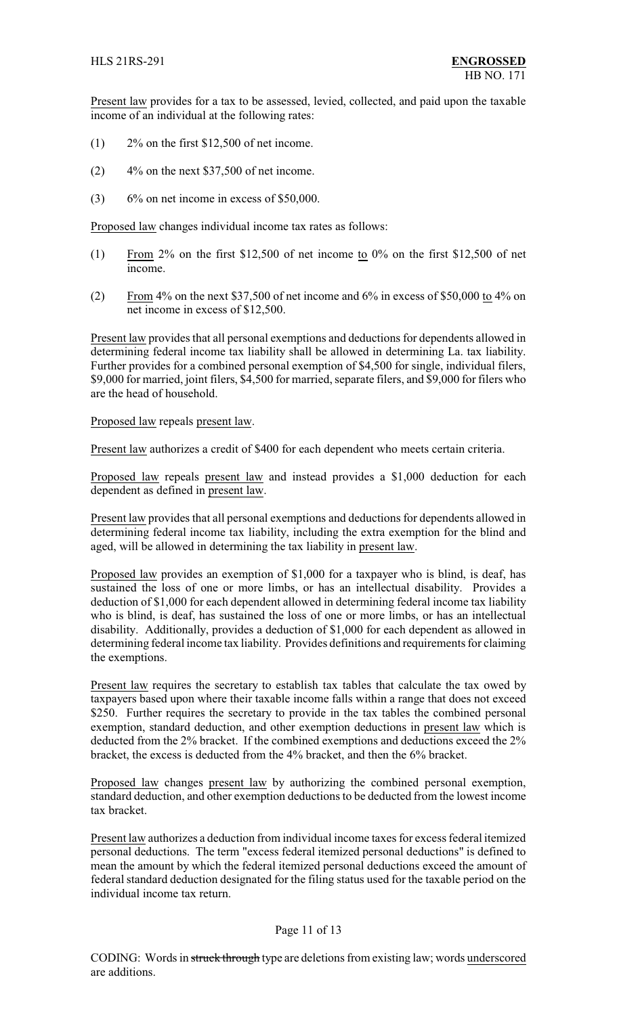Present law provides for a tax to be assessed, levied, collected, and paid upon the taxable income of an individual at the following rates:

- $(1)$  2% on the first \$12,500 of net income.
- $(2)$  4% on the next \$37,500 of net income.
- $(3)$  6% on net income in excess of \$50,000.

Proposed law changes individual income tax rates as follows:

- (1) From 2% on the first \$12,500 of net income to 0% on the first \$12,500 of net income.
- (2) From 4% on the next \$37,500 of net income and 6% in excess of \$50,000 to 4% on net income in excess of \$12,500.

Present law provides that all personal exemptions and deductions for dependents allowed in determining federal income tax liability shall be allowed in determining La. tax liability. Further provides for a combined personal exemption of \$4,500 for single, individual filers, \$9,000 for married, joint filers, \$4,500 for married, separate filers, and \$9,000 for filers who are the head of household.

Proposed law repeals present law.

Present law authorizes a credit of \$400 for each dependent who meets certain criteria.

Proposed law repeals present law and instead provides a \$1,000 deduction for each dependent as defined in present law.

Present law provides that all personal exemptions and deductions for dependents allowed in determining federal income tax liability, including the extra exemption for the blind and aged, will be allowed in determining the tax liability in present law.

Proposed law provides an exemption of \$1,000 for a taxpayer who is blind, is deaf, has sustained the loss of one or more limbs, or has an intellectual disability. Provides a deduction of \$1,000 for each dependent allowed in determining federal income tax liability who is blind, is deaf, has sustained the loss of one or more limbs, or has an intellectual disability. Additionally, provides a deduction of \$1,000 for each dependent as allowed in determining federal income tax liability. Provides definitions and requirements for claiming the exemptions.

Present law requires the secretary to establish tax tables that calculate the tax owed by taxpayers based upon where their taxable income falls within a range that does not exceed \$250. Further requires the secretary to provide in the tax tables the combined personal exemption, standard deduction, and other exemption deductions in present law which is deducted from the 2% bracket. If the combined exemptions and deductions exceed the 2% bracket, the excess is deducted from the 4% bracket, and then the 6% bracket.

Proposed law changes present law by authorizing the combined personal exemption, standard deduction, and other exemption deductions to be deducted from the lowest income tax bracket.

Present law authorizes a deduction from individual income taxes for excess federal itemized personal deductions. The term "excess federal itemized personal deductions" is defined to mean the amount by which the federal itemized personal deductions exceed the amount of federal standard deduction designated for the filing status used for the taxable period on the individual income tax return.

### Page 11 of 13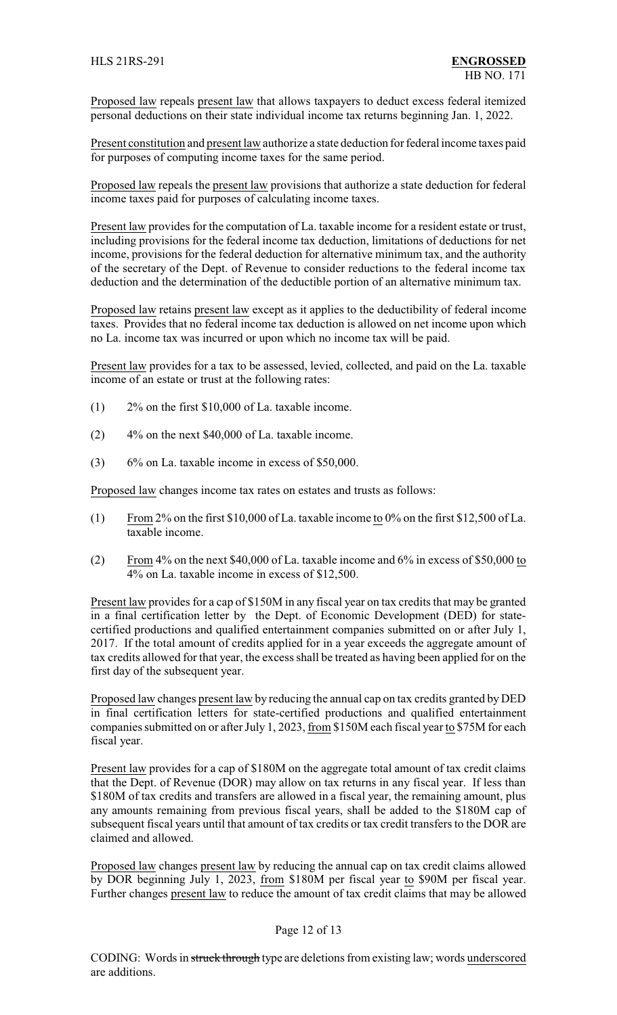Proposed law repeals present law that allows taxpayers to deduct excess federal itemized personal deductions on their state individual income tax returns beginning Jan. 1, 2022.

Present constitution and present law authorize a state deduction for federal income taxes paid for purposes of computing income taxes for the same period.

Proposed law repeals the present law provisions that authorize a state deduction for federal income taxes paid for purposes of calculating income taxes.

Present law provides for the computation of La. taxable income for a resident estate or trust, including provisions for the federal income tax deduction, limitations of deductions for net income, provisions for the federal deduction for alternative minimum tax, and the authority of the secretary of the Dept. of Revenue to consider reductions to the federal income tax deduction and the determination of the deductible portion of an alternative minimum tax.

Proposed law retains present law except as it applies to the deductibility of federal income taxes. Provides that no federal income tax deduction is allowed on net income upon which no La. income tax was incurred or upon which no income tax will be paid.

Present law provides for a tax to be assessed, levied, collected, and paid on the La. taxable income of an estate or trust at the following rates:

- (1) 2% on the first \$10,000 of La. taxable income.
- (2) 4% on the next \$40,000 of La. taxable income.
- (3) 6% on La. taxable income in excess of \$50,000.

Proposed law changes income tax rates on estates and trusts as follows:

- (1) From 2% on the first \$10,000 of La. taxable income to 0% on the first \$12,500 of La. taxable income.
- (2) From 4% on the next \$40,000 of La. taxable income and 6% in excess of \$50,000 to 4% on La. taxable income in excess of \$12,500.

Present law provides for a cap of \$150M in any fiscal year on tax credits that may be granted in a final certification letter by the Dept. of Economic Development (DED) for statecertified productions and qualified entertainment companies submitted on or after July 1, 2017. If the total amount of credits applied for in a year exceeds the aggregate amount of tax credits allowed for that year, the excess shall be treated as having been applied for on the first day of the subsequent year.

Proposed law changes present law by reducing the annual cap on tax credits granted by DED in final certification letters for state-certified productions and qualified entertainment companies submitted on or after July 1, 2023, from \$150M each fiscal year to \$75M for each fiscal year.

Present law provides for a cap of \$180M on the aggregate total amount of tax credit claims that the Dept. of Revenue (DOR) may allow on tax returns in any fiscal year. If less than \$180M of tax credits and transfers are allowed in a fiscal year, the remaining amount, plus any amounts remaining from previous fiscal years, shall be added to the \$180M cap of subsequent fiscal years until that amount of tax credits or tax credit transfers to the DOR are claimed and allowed.

Proposed law changes present law by reducing the annual cap on tax credit claims allowed by DOR beginning July 1, 2023, from \$180M per fiscal year to \$90M per fiscal year. Further changes present law to reduce the amount of tax credit claims that may be allowed

### Page 12 of 13